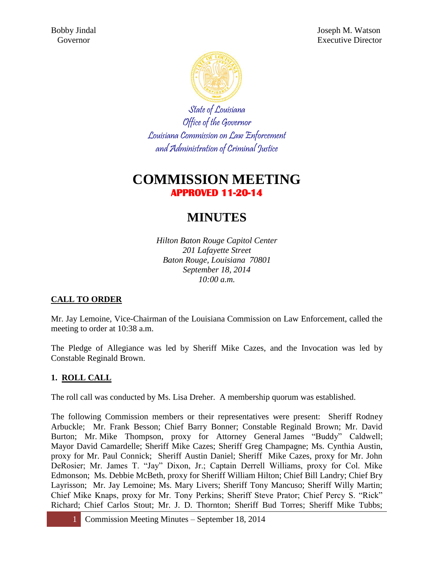

State of Louisiana Office of the Governor Louisiana Commission on Law Enforcement and Administration of Criminal Justice

## **COMMISSION MEETING APPROVED 11-20-14**

# **MINUTES**

*Hilton Baton Rouge Capitol Center 201 Lafayette Street Baton Rouge, Louisiana 70801 September 18, 2014 10:00 a.m.*

## **CALL TO ORDER**

Mr. Jay Lemoine, Vice-Chairman of the Louisiana Commission on Law Enforcement, called the meeting to order at 10:38 a.m.

The Pledge of Allegiance was led by Sheriff Mike Cazes, and the Invocation was led by Constable Reginald Brown.

## **1. ROLL CALL**

The roll call was conducted by Ms. Lisa Dreher. A membership quorum was established.

The following Commission members or their representatives were present: Sheriff Rodney Arbuckle; Mr. Frank Besson; Chief Barry Bonner; Constable Reginald Brown; Mr. David Burton; Mr. Mike Thompson, proxy for Attorney General James "Buddy" Caldwell; Mayor David Camardelle; Sheriff Mike Cazes; Sheriff Greg Champagne; Ms. Cynthia Austin, proxy for Mr. Paul Connick; Sheriff Austin Daniel; Sheriff Mike Cazes, proxy for Mr. John DeRosier; Mr. James T. "Jay" Dixon, Jr.; Captain Derrell Williams, proxy for Col. Mike Edmonson; Ms. Debbie McBeth, proxy for Sheriff William Hilton; Chief Bill Landry; Chief Bry Layrisson; Mr. Jay Lemoine; Ms. Mary Livers; Sheriff Tony Mancuso; Sheriff Willy Martin; Chief Mike Knaps, proxy for Mr. Tony Perkins; Sheriff Steve Prator; Chief Percy S. "Rick" Richard; Chief Carlos Stout; Mr. J. D. Thornton; Sheriff Bud Torres; Sheriff Mike Tubbs;

1 Commission Meeting Minutes – September 18, 2014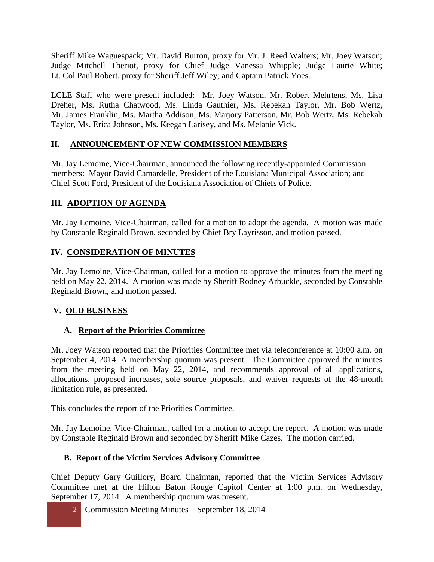Sheriff Mike Waguespack; Mr. David Burton, proxy for Mr. J. Reed Walters; Mr. Joey Watson; Judge Mitchell Theriot, proxy for Chief Judge Vanessa Whipple; Judge Laurie White; Lt. Col.Paul Robert, proxy for Sheriff Jeff Wiley; and Captain Patrick Yoes.

LCLE Staff who were present included: Mr. Joey Watson, Mr. Robert Mehrtens, Ms. Lisa Dreher, Ms. Rutha Chatwood, Ms. Linda Gauthier, Ms. Rebekah Taylor, Mr. Bob Wertz, Mr. James Franklin, Ms. Martha Addison, Ms. Marjory Patterson, Mr. Bob Wertz, Ms. Rebekah Taylor, Ms. Erica Johnson, Ms. Keegan Larisey, and Ms. Melanie Vick.

#### **II. ANNOUNCEMENT OF NEW COMMISSION MEMBERS**

Mr. Jay Lemoine, Vice-Chairman, announced the following recently-appointed Commission members: Mayor David Camardelle, President of the Louisiana Municipal Association; and Chief Scott Ford, President of the Louisiana Association of Chiefs of Police.

#### **III. ADOPTION OF AGENDA**

Mr. Jay Lemoine, Vice-Chairman, called for a motion to adopt the agenda. A motion was made by Constable Reginald Brown, seconded by Chief Bry Layrisson, and motion passed.

#### **IV. CONSIDERATION OF MINUTES**

Mr. Jay Lemoine, Vice-Chairman, called for a motion to approve the minutes from the meeting held on May 22, 2014. A motion was made by Sheriff Rodney Arbuckle, seconded by Constable Reginald Brown, and motion passed.

#### **V. OLD BUSINESS**

#### **A. Report of the Priorities Committee**

Mr. Joey Watson reported that the Priorities Committee met via teleconference at 10:00 a.m. on September 4, 2014. A membership quorum was present. The Committee approved the minutes from the meeting held on May 22, 2014, and recommends approval of all applications, allocations, proposed increases, sole source proposals, and waiver requests of the 48-month limitation rule, as presented.

This concludes the report of the Priorities Committee.

Mr. Jay Lemoine, Vice-Chairman, called for a motion to accept the report. A motion was made by Constable Reginald Brown and seconded by Sheriff Mike Cazes. The motion carried.

#### **B. Report of the Victim Services Advisory Committee**

Chief Deputy Gary Guillory, Board Chairman, reported that the Victim Services Advisory Committee met at the Hilton Baton Rouge Capitol Center at 1:00 p.m. on Wednesday, September 17, 2014. A membership quorum was present.

2 Commission Meeting Minutes – September 18, 2014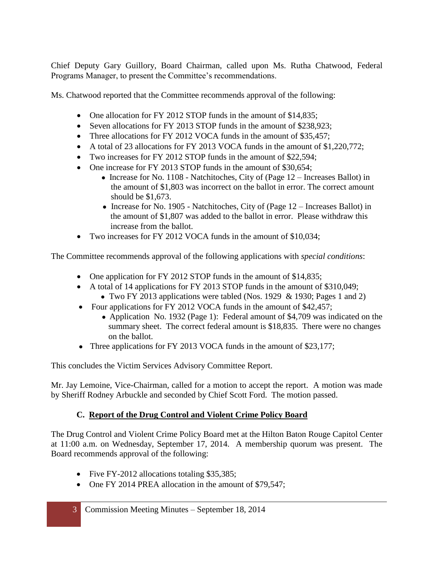Chief Deputy Gary Guillory, Board Chairman, called upon Ms. Rutha Chatwood, Federal Programs Manager, to present the Committee's recommendations.

Ms. Chatwood reported that the Committee recommends approval of the following:

- One allocation for FY 2012 STOP funds in the amount of \$14,835;
- Seven allocations for FY 2013 STOP funds in the amount of \$238,923;
- Three allocations for FY 2012 VOCA funds in the amount of \$35,457;
- A total of 23 allocations for FY 2013 VOCA funds in the amount of \$1,220,772;
- Two increases for FY 2012 STOP funds in the amount of \$22,594;
- One increase for FY 2013 STOP funds in the amount of \$30,654;
	- Increase for No. 1108 Natchitoches, City of (Page  $12$  Increases Ballot) in the amount of \$1,803 was incorrect on the ballot in error. The correct amount should be \$1,673.
	- Increase for No. 1905 Natchitoches, City of (Page  $12$  Increases Ballot) in the amount of \$1,807 was added to the ballot in error. Please withdraw this increase from the ballot.
- Two increases for FY 2012 VOCA funds in the amount of \$10,034;

The Committee recommends approval of the following applications with *special conditions*:

- One application for FY 2012 STOP funds in the amount of \$14,835;
- A total of 14 applications for FY 2013 STOP funds in the amount of \$310,049;
	- Two FY 2013 applications were tabled (Nos. 1929  $&$  1930; Pages 1 and 2)
- Four applications for FY 2012 VOCA funds in the amount of \$42,457;
	- Application No. 1932 (Page 1): Federal amount of \$4,709 was indicated on the summary sheet. The correct federal amount is \$18,835. There were no changes on the ballot.
- Three applications for FY 2013 VOCA funds in the amount of \$23,177;

This concludes the Victim Services Advisory Committee Report.

Mr. Jay Lemoine, Vice-Chairman, called for a motion to accept the report. A motion was made by Sheriff Rodney Arbuckle and seconded by Chief Scott Ford. The motion passed.

## **C. Report of the Drug Control and Violent Crime Policy Board**

The Drug Control and Violent Crime Policy Board met at the Hilton Baton Rouge Capitol Center at 11:00 a.m. on Wednesday, September 17, 2014. A membership quorum was present. The Board recommends approval of the following:

- Five FY-2012 allocations totaling \$35,385;
- One FY 2014 PREA allocation in the amount of \$79,547;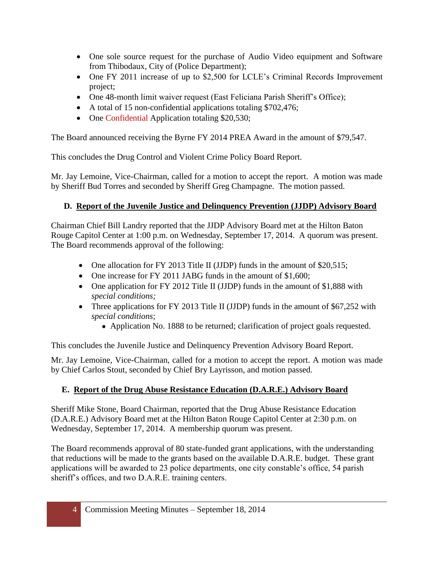- One sole source request for the purchase of Audio Video equipment and Software from Thibodaux, City of (Police Department);
- One FY 2011 increase of up to \$2,500 for LCLE's Criminal Records Improvement project;
- One 48-month limit waiver request (East Feliciana Parish Sheriff's Office);
- A total of 15 non-confidential applications totaling \$702,476;
- One Confidential Application totaling \$20,530;

The Board announced receiving the Byrne FY 2014 PREA Award in the amount of \$79,547.

This concludes the Drug Control and Violent Crime Policy Board Report.

Mr. Jay Lemoine, Vice-Chairman, called for a motion to accept the report. A motion was made by Sheriff Bud Torres and seconded by Sheriff Greg Champagne. The motion passed.

## **D. Report of the Juvenile Justice and Delinquency Prevention (JJDP) Advisory Board**

Chairman Chief Bill Landry reported that the JJDP Advisory Board met at the Hilton Baton Rouge Capitol Center at 1:00 p.m. on Wednesday, September 17, 2014. A quorum was present. The Board recommends approval of the following:

- One allocation for FY 2013 Title II (JJDP) funds in the amount of \$20,515;
- One increase for FY 2011 JABG funds in the amount of \$1,600;
- One application for FY 2012 Title II (JJDP) funds in the amount of \$1,888 with *special conditions;*
- Three applications for FY 2013 Title II (JJDP) funds in the amount of \$67,252 with *special conditions*;
	- Application No. 1888 to be returned; clarification of project goals requested.

This concludes the Juvenile Justice and Delinquency Prevention Advisory Board Report.

Mr. Jay Lemoine, Vice-Chairman, called for a motion to accept the report. A motion was made by Chief Carlos Stout, seconded by Chief Bry Layrisson, and motion passed.

## **E. Report of the Drug Abuse Resistance Education (D.A.R.E.) Advisory Board**

Sheriff Mike Stone, Board Chairman, reported that the Drug Abuse Resistance Education (D.A.R.E.) Advisory Board met at the Hilton Baton Rouge Capitol Center at 2:30 p.m. on Wednesday, September 17, 2014. A membership quorum was present.

The Board recommends approval of 80 state-funded grant applications, with the understanding that reductions will be made to the grants based on the available D.A.R.E. budget. These grant applications will be awarded to 23 police departments, one city constable's office, 54 parish sheriff's offices, and two D.A.R.E. training centers.